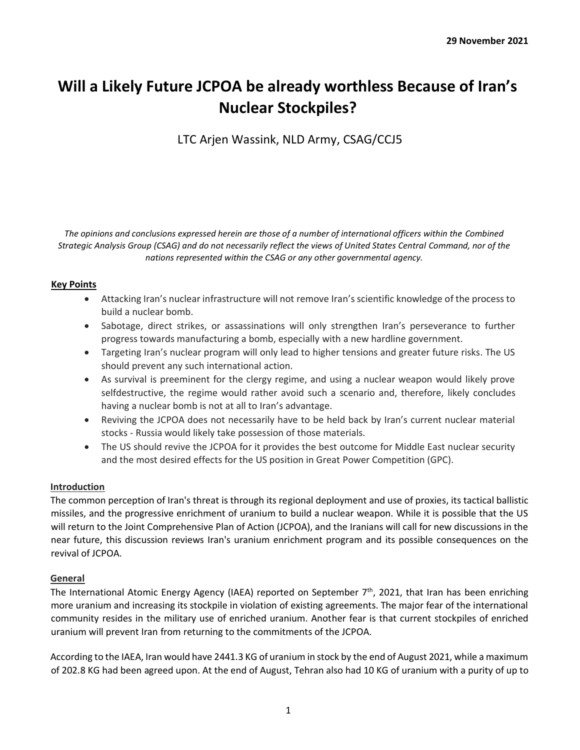# **Will a Likely Future JCPOA be already worthless Because of Iran's Nuclear Stockpiles?**

LTC Arjen Wassink, NLD Army, CSAG/CCJ5

*The opinions and conclusions expressed herein are those of a number of international officers within the Combined Strategic Analysis Group (CSAG) and do not necessarily reflect the views of United States Central Command, nor of the nations represented within the CSAG or any other governmental agency.*

## **Key Points**

- Attacking Iran's nuclear infrastructure will not remove Iran's scientific knowledge of the process to build a nuclear bomb.
- Sabotage, direct strikes, or assassinations will only strengthen Iran's perseverance to further progress towards manufacturing a bomb, especially with a new hardline government.
- Targeting Iran's nuclear program will only lead to higher tensions and greater future risks. The US should prevent any such international action.
- As survival is preeminent for the clergy regime, and using a nuclear weapon would likely prove selfdestructive, the regime would rather avoid such a scenario and, therefore, likely concludes having a nuclear bomb is not at all to Iran's advantage.
- Reviving the JCPOA does not necessarily have to be held back by Iran's current nuclear material stocks - Russia would likely take possession of those materials.
- The US should revive the JCPOA for it provides the best outcome for Middle East nuclear security and the most desired effects for the US position in Great Power Competition (GPC).

## **Introduction**

The common perception of Iran's threat is through its regional deployment and use of proxies, its tactical ballistic missiles, and the progressive enrichment of uranium to build a nuclear weapon. While it is possible that the US will return to the Joint Comprehensive Plan of Action (JCPOA), and the Iranians will call for new discussions in the near future, this discussion reviews Iran's uranium enrichment program and its possible consequences on the revival of JCPOA.

#### **General**

The International Atomic Energy Agency (IAEA) reported on September  $7<sup>th</sup>$ , 2021, that Iran has been enriching more uranium and increasing its stockpile in violation of existing agreements. The major fear of the international community resides in the military use of enriched uranium. Another fear is that current stockpiles of enriched uranium will prevent Iran from returning to the commitments of the JCPOA.

According to the IAEA, Iran would have 2441.3 KG of uranium in stock by the end of August 2021, while a maximum of 202.8 KG had been agreed upon. At the end of August, Tehran also had 10 KG of uranium with a purity of up to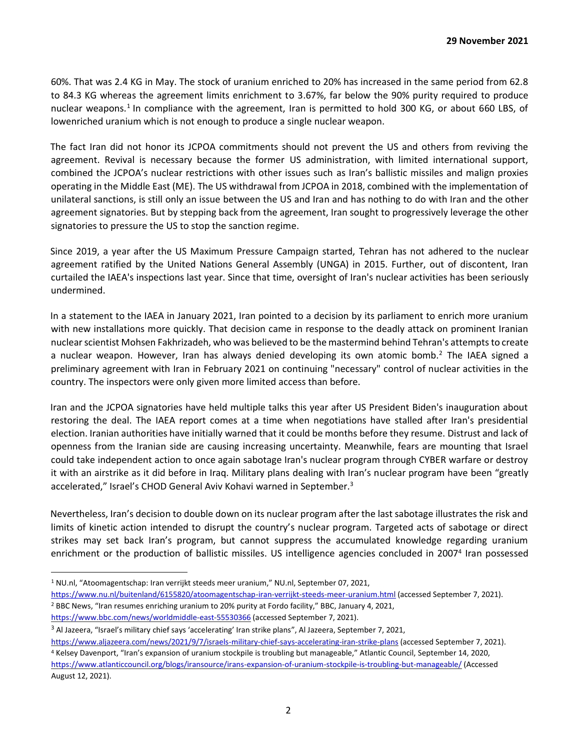60%. That was 2.4 KG in May. The stock of uranium enriched to 20% has increased in the same period from 62.8 to 84.3 KG whereas the agreement limits enrichment to 3.67%, far below the 90% purity required to produce nuclear weapons.<sup>1</sup> In compliance with the agreement, Iran is permitted to hold 300 KG, or about 660 LBS, of lowenriched uranium which is not enough to produce a single nuclear weapon.

The fact Iran did not honor its JCPOA commitments should not prevent the US and others from reviving the agreement. Revival is necessary because the former US administration, with limited international support, combined the JCPOA's nuclear restrictions with other issues such as Iran's ballistic missiles and malign proxies operating in the Middle East (ME). The US withdrawal from JCPOA in 2018, combined with the implementation of unilateral sanctions, is still only an issue between the US and Iran and has nothing to do with Iran and the other agreement signatories. But by stepping back from the agreement, Iran sought to progressively leverage the other signatories to pressure the US to stop the sanction regime.

Since 2019, a year after the US Maximum Pressure Campaign started, Tehran has not adhered to the nuclear agreement ratified by the United Nations General Assembly (UNGA) in 2015. Further, out of discontent, Iran curtailed the IAEA's inspections last year. Since that time, oversight of Iran's nuclear activities has been seriously undermined.

In a statement to the IAEA in January 2021, Iran pointed to a decision by its parliament to enrich more uranium with new installations more quickly. That decision came in response to the deadly attack on prominent Iranian nuclear scientist Mohsen Fakhrizadeh, who was believed to be the mastermind behind Tehran's attempts to create a nuclear weapon. However, Iran has always denied developing its own atomic bomb.<sup>2</sup> The IAEA signed a preliminary agreement with Iran in February 2021 on continuing "necessary" control of nuclear activities in the country. The inspectors were only given more limited access than before.

Iran and the JCPOA signatories have held multiple talks this year after US President Biden's inauguration about restoring the deal. The IAEA report comes at a time when negotiations have stalled after Iran's presidential election. Iranian authorities have initially warned that it could be months before they resume. Distrust and lack of openness from the Iranian side are causing increasing uncertainty. Meanwhile, fears are mounting that Israel could take independent action to once again sabotage Iran's nuclear program through CYBER warfare or destroy it with an airstrike as it did before in Iraq. Military plans dealing with Iran's nuclear program have been "greatly accelerated," Israel's CHOD General Aviv Kohavi warned in September.<sup>3</sup>

Nevertheless, Iran's decision to double down on its nuclear program after the last sabotage illustrates the risk and limits of kinetic action intended to disrupt the country's nuclear program. Targeted acts of sabotage or direct strikes may set back Iran's program, but cannot suppress the accumulated knowledge regarding uranium enrichment or the production of ballistic missiles. US intelligence agencies concluded in 2007<sup>4</sup> Iran possessed

https://www.bbc.com/news/worldmiddle-east-55530366 (accessed September 7, 2021).

August 12, 2021).

<sup>1</sup> NU.nl, "Atoomagentschap: Iran verrijkt steeds meer uranium," NU.nl, September 07, 2021,

https://www.nu.nl/buitenland/6155820/atoomagentschap-iran-verrijkt-steeds-meer-uranium.html (accessed September 7, 2021). <sup>2</sup> BBC News, "Iran resumes enriching uranium to 20% purity at Fordo facility," BBC, January 4, 2021,

<sup>3</sup> Al Jazeera, "Israel's military chief says 'accelerating' Iran strike plans", Al Jazeera, September 7, 2021,

https://www.aljazeera.com/news/2021/9/7/israels-military-chief-says-accelerating-iran-strike-plans (accessed September 7, 2021). <sup>4</sup> Kelsey Davenport, "Iran's expansion of uranium stockpile is troubling but manageable," Atlantic Council, September 14, 2020, https://www.atlanticcouncil.org/blogs/iransource/irans-expansion-of-uranium-stockpile-is-troubling-but-manageable/ (Accessed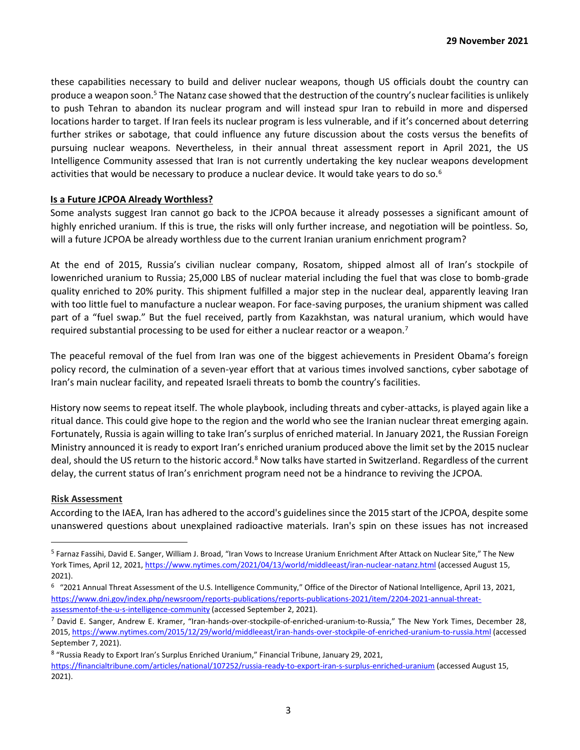these capabilities necessary to build and deliver nuclear weapons, though US officials doubt the country can produce a weapon soon.<sup>5</sup> The Natanz case showed that the destruction of the country's nuclear facilities is unlikely to push Tehran to abandon its nuclear program and will instead spur Iran to rebuild in more and dispersed locations harder to target. If Iran feels its nuclear program is less vulnerable, and if it's concerned about deterring further strikes or sabotage, that could influence any future discussion about the costs versus the benefits of pursuing nuclear weapons. Nevertheless, in their annual threat assessment report in April 2021, the US Intelligence Community assessed that Iran is not currently undertaking the key nuclear weapons development activities that would be necessary to produce a nuclear device. It would take years to do so.<sup>6</sup>

#### **Is a Future JCPOA Already Worthless?**

Some analysts suggest Iran cannot go back to the JCPOA because it already possesses a significant amount of highly enriched uranium. If this is true, the risks will only further increase, and negotiation will be pointless. So, will a future JCPOA be already worthless due to the current Iranian uranium enrichment program?

At the end of 2015, Russia's civilian nuclear company, Rosatom, shipped almost all of Iran's stockpile of lowenriched uranium to Russia; 25,000 LBS of nuclear material including the fuel that was close to bomb-grade quality enriched to 20% purity. This shipment fulfilled a major step in the nuclear deal, apparently leaving Iran with too little fuel to manufacture a nuclear weapon. For face-saving purposes, the uranium shipment was called part of a "fuel swap." But the fuel received, partly from Kazakhstan, was natural uranium, which would have required substantial processing to be used for either a nuclear reactor or a weapon.<sup>7</sup>

The peaceful removal of the fuel from Iran was one of the biggest achievements in President Obama's foreign policy record, the culmination of a seven-year effort that at various times involved sanctions, cyber sabotage of Iran's main nuclear facility, and repeated Israeli threats to bomb the country's facilities.

History now seems to repeat itself. The whole playbook, including threats and cyber-attacks, is played again like a ritual dance. This could give hope to the region and the world who see the Iranian nuclear threat emerging again. Fortunately, Russia is again willing to take Iran's surplus of enriched material. In January 2021, the Russian Foreign Ministry announced it is ready to export Iran's enriched uranium produced above the limit set by the 2015 nuclear deal, should the US return to the historic accord.<sup>8</sup> Now talks have started in Switzerland. Regardless of the current delay, the current status of Iran's enrichment program need not be a hindrance to reviving the JCPOA.

#### **Risk Assessment**

According to the IAEA, Iran has adhered to the accord's guidelines since the 2015 start of the JCPOA, despite some unanswered questions about unexplained radioactive materials. Iran's spin on these issues has not increased

<sup>5</sup> Farnaz Fassihi, David E. Sanger, William J. Broad, "Iran Vows to Increase Uranium Enrichment After Attack on Nuclear Site," The New York Times, April 12, 2021, https://www.nytimes.com/2021/04/13/world/middleeast/iran-nuclear-natanz.html (accessed August 15, 2021).

<sup>&</sup>lt;sup>6</sup> "2021 Annual Threat Assessment of the U.S. Intelligence Community," Office of the Director of National Intelligence, April 13, 2021, https://www.dni.gov/index.php/newsroom/reports-publications/reports-publications-2021/item/2204-2021-annual-threatassessmentof-the-u-s-intelligence-community (accessed September 2, 2021).

<sup>7</sup> David E. Sanger, Andrew E. Kramer, "Iran-hands-over-stockpile-of-enriched-uranium-to-Russia," The New York Times, December 28, 2015, https://www.nytimes.com/2015/12/29/world/middleeast/iran-hands-over-stockpile-of-enriched-uranium-to-russia.html (accessed September 7, 2021).

<sup>&</sup>lt;sup>8</sup> "Russia Ready to Export Iran's Surplus Enriched Uranium," Financial Tribune, January 29, 2021, https://financialtribune.com/articles/national/107252/russia-ready-to-export-iran-s-surplus-enriched-uranium (accessed August 15, 2021).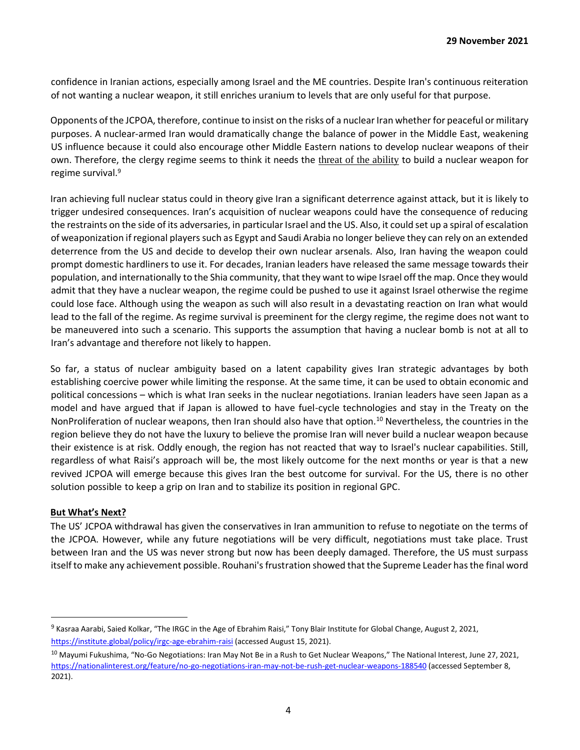confidence in Iranian actions, especially among Israel and the ME countries. Despite Iran's continuous reiteration of not wanting a nuclear weapon, it still enriches uranium to levels that are only useful for that purpose.

Opponents of the JCPOA, therefore, continue to insist on the risks of a nuclear Iran whether for peaceful or military purposes. A nuclear-armed Iran would dramatically change the balance of power in the Middle East, weakening US influence because it could also encourage other Middle Eastern nations to develop nuclear weapons of their own. Therefore, the clergy regime seems to think it needs the threat of the ability to build a nuclear weapon for regime survival.<sup>9</sup>

Iran achieving full nuclear status could in theory give Iran a significant deterrence against attack, but it is likely to trigger undesired consequences. Iran's acquisition of nuclear weapons could have the consequence of reducing the restraints on the side of its adversaries, in particular Israel and the US. Also, it could set up a spiral of escalation of weaponization if regional players such as Egypt and Saudi Arabia no longer believe they can rely on an extended deterrence from the US and decide to develop their own nuclear arsenals. Also, Iran having the weapon could prompt domestic hardliners to use it. For decades, Iranian leaders have released the same message towards their population, and internationally to the Shia community, that they want to wipe Israel off the map. Once they would admit that they have a nuclear weapon, the regime could be pushed to use it against Israel otherwise the regime could lose face. Although using the weapon as such will also result in a devastating reaction on Iran what would lead to the fall of the regime. As regime survival is preeminent for the clergy regime, the regime does not want to be maneuvered into such a scenario. This supports the assumption that having a nuclear bomb is not at all to Iran's advantage and therefore not likely to happen.

So far, a status of nuclear ambiguity based on a latent capability gives Iran strategic advantages by both establishing coercive power while limiting the response. At the same time, it can be used to obtain economic and political concessions – which is what Iran seeks in the nuclear negotiations. Iranian leaders have seen Japan as a model and have argued that if Japan is allowed to have fuel-cycle technologies and stay in the Treaty on the NonProliferation of nuclear weapons, then Iran should also have that option.<sup>10</sup> Nevertheless, the countries in the region believe they do not have the luxury to believe the promise Iran will never build a nuclear weapon because their existence is at risk. Oddly enough, the region has not reacted that way to Israel's nuclear capabilities. Still, regardless of what Raisi's approach will be, the most likely outcome for the next months or year is that a new revived JCPOA will emerge because this gives Iran the best outcome for survival. For the US, there is no other solution possible to keep a grip on Iran and to stabilize its position in regional GPC.

#### **But What's Next?**

The US' JCPOA withdrawal has given the conservatives in Iran ammunition to refuse to negotiate on the terms of the JCPOA. However, while any future negotiations will be very difficult, negotiations must take place. Trust between Iran and the US was never strong but now has been deeply damaged. Therefore, the US must surpass itself to make any achievement possible. Rouhani's frustration showed that the Supreme Leader has the final word

<sup>9</sup> Kasraa Aarabi, Saied Kolkar, "The IRGC in the Age of Ebrahim Raisi," Tony Blair Institute for Global Change, August 2, 2021, https://institute.global/policy/irgc-age-ebrahim-raisi (accessed August 15, 2021).

<sup>&</sup>lt;sup>10</sup> Mayumi Fukushima, "No-Go Negotiations: Iran May Not Be in a Rush to Get Nuclear Weapons," The National Interest, June 27, 2021, https://nationalinterest.org/feature/no-go-negotiations-iran-may-not-be-rush-get-nuclear-weapons-188540 (accessed September 8, 2021).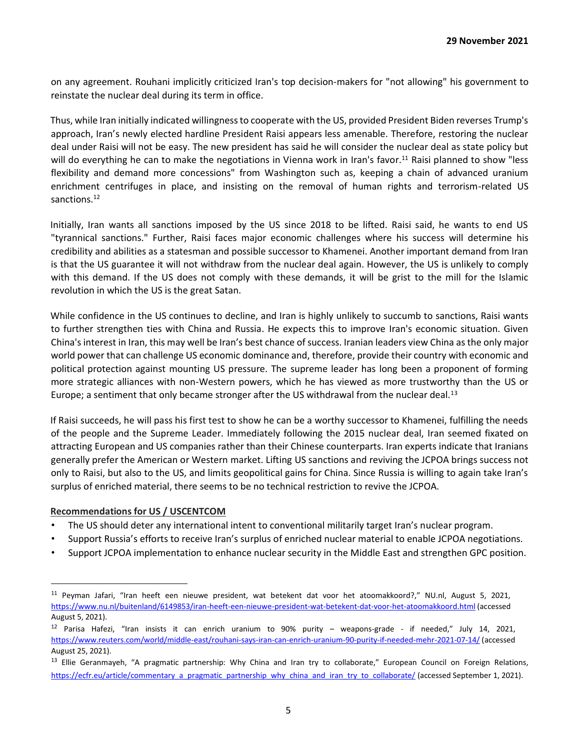on any agreement. Rouhani implicitly criticized Iran's top decision-makers for "not allowing" his government to reinstate the nuclear deal during its term in office.

Thus, while Iran initially indicated willingness to cooperate with the US, provided President Biden reverses Trump's approach, Iran's newly elected hardline President Raisi appears less amenable. Therefore, restoring the nuclear deal under Raisi will not be easy. The new president has said he will consider the nuclear deal as state policy but will do everything he can to make the negotiations in Vienna work in Iran's favor.<sup>11</sup> Raisi planned to show "less flexibility and demand more concessions" from Washington such as, keeping a chain of advanced uranium enrichment centrifuges in place, and insisting on the removal of human rights and terrorism-related US sanctions.<sup>12</sup>

Initially, Iran wants all sanctions imposed by the US since 2018 to be lifted. Raisi said, he wants to end US "tyrannical sanctions." Further, Raisi faces major economic challenges where his success will determine his credibility and abilities as a statesman and possible successor to Khamenei. Another important demand from Iran is that the US guarantee it will not withdraw from the nuclear deal again. However, the US is unlikely to comply with this demand. If the US does not comply with these demands, it will be grist to the mill for the Islamic revolution in which the US is the great Satan.

While confidence in the US continues to decline, and Iran is highly unlikely to succumb to sanctions, Raisi wants to further strengthen ties with China and Russia. He expects this to improve Iran's economic situation. Given China's interest in Iran, this may well be Iran's best chance of success. Iranian leaders view China as the only major world power that can challenge US economic dominance and, therefore, provide their country with economic and political protection against mounting US pressure. The supreme leader has long been a proponent of forming more strategic alliances with non-Western powers, which he has viewed as more trustworthy than the US or Europe; a sentiment that only became stronger after the US withdrawal from the nuclear deal.<sup>13</sup>

If Raisi succeeds, he will pass his first test to show he can be a worthy successor to Khamenei, fulfilling the needs of the people and the Supreme Leader. Immediately following the 2015 nuclear deal, Iran seemed fixated on attracting European and US companies rather than their Chinese counterparts. Iran experts indicate that Iranians generally prefer the American or Western market. Lifting US sanctions and reviving the JCPOA brings success not only to Raisi, but also to the US, and limits geopolitical gains for China. Since Russia is willing to again take Iran's surplus of enriched material, there seems to be no technical restriction to revive the JCPOA.

#### **Recommendations for US / USCENTCOM**

- The US should deter any international intent to conventional militarily target Iran's nuclear program.
- Support Russia's efforts to receive Iran's surplus of enriched nuclear material to enable JCPOA negotiations.
- Support JCPOA implementation to enhance nuclear security in the Middle East and strengthen GPC position.

<sup>11</sup> Peyman Jafari, "Iran heeft een nieuwe president, wat betekent dat voor het atoomakkoord?," NU.nl, August 5, 2021, https://www.nu.nl/buitenland/6149853/iran-heeft-een-nieuwe-president-wat-betekent-dat-voor-het-atoomakkoord.html (accessed August 5, 2021).

<sup>12</sup> Parisa Hafezi, "Iran insists it can enrich uranium to 90% purity – weapons-grade - if needed," July 14, 2021, https://www.reuters.com/world/middle-east/rouhani-says-iran-can-enrich-uranium-90-purity-if-needed-mehr-2021-07-14/ (accessed August 25, 2021).

<sup>&</sup>lt;sup>13</sup> Ellie Geranmayeh, "A pragmatic partnership: Why China and Iran try to collaborate," European Council on Foreign Relations, https://ecfr.eu/article/commentary\_a\_pragmatic\_partnership\_why\_china\_and\_iran\_try\_to\_collaborate/ (accessed September 1, 2021).